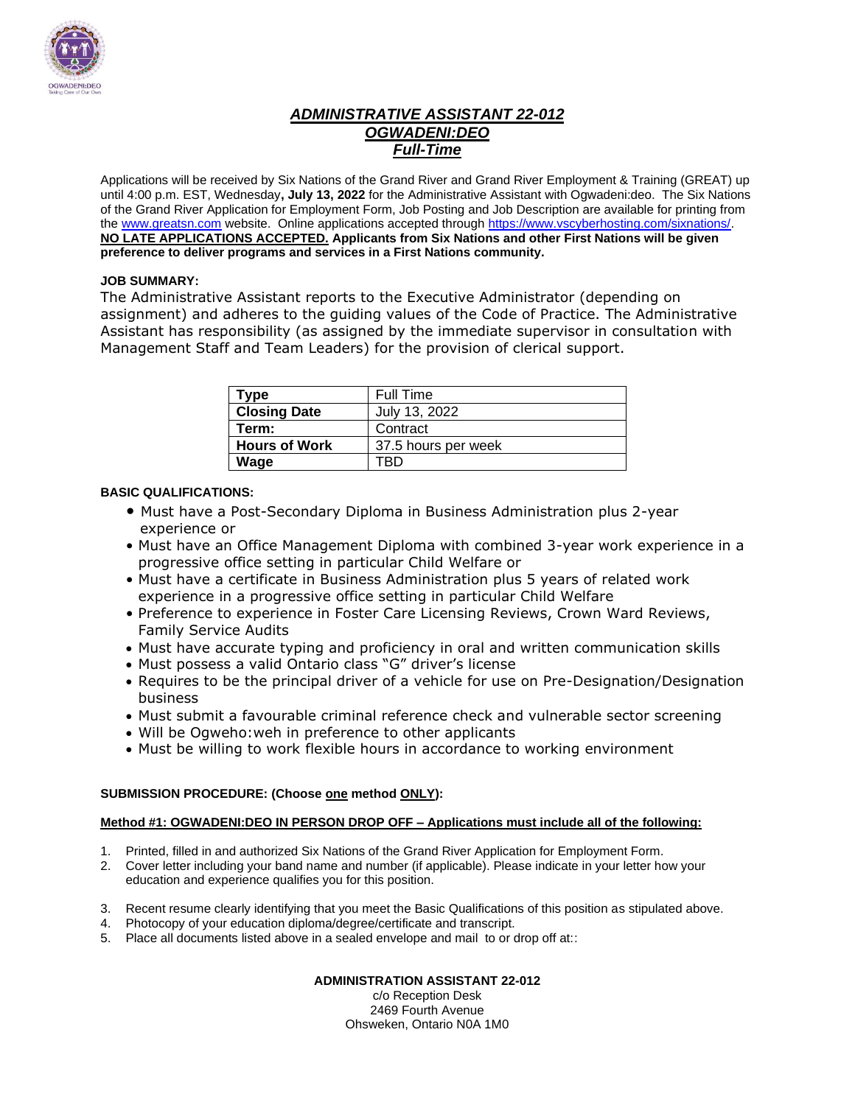

# *ADMINISTRATIVE ASSISTANT 22-012 OGWADENI:DEO Full-Time*

Applications will be received by Six Nations of the Grand River and Grand River Employment & Training (GREAT) up until 4:00 p.m. EST, Wednesday**, July 13, 2022** for the Administrative Assistant with Ogwadeni:deo. The Six Nations of the Grand River Application for Employment Form, Job Posting and Job Description are available for printing from the [www.greatsn.com](http://www.greatsn.com/) website. Online applications accepted throug[h https://www.vscyberhosting.com/sixnations/.](https://www.vscyberhosting.com/sixnations/) **NO LATE APPLICATIONS ACCEPTED. Applicants from Six Nations and other First Nations will be given preference to deliver programs and services in a First Nations community.**

### **JOB SUMMARY:**

The Administrative Assistant reports to the Executive Administrator (depending on assignment) and adheres to the guiding values of the Code of Practice. The Administrative Assistant has responsibility (as assigned by the immediate supervisor in consultation with Management Staff and Team Leaders) for the provision of clerical support.

| Type                 | Full Time           |
|----------------------|---------------------|
| <b>Closing Date</b>  | July 13, 2022       |
| Term:                | Contract            |
| <b>Hours of Work</b> | 37.5 hours per week |
| Wage                 |                     |

### **BASIC QUALIFICATIONS:**

- Must have a Post-Secondary Diploma in Business Administration plus 2-year experience or
- Must have an Office Management Diploma with combined 3-year work experience in a progressive office setting in particular Child Welfare or
- Must have a certificate in Business Administration plus 5 years of related work experience in a progressive office setting in particular Child Welfare
- Preference to experience in Foster Care Licensing Reviews, Crown Ward Reviews, Family Service Audits
- Must have accurate typing and proficiency in oral and written communication skills
- Must possess a valid Ontario class "G" driver's license
- Requires to be the principal driver of a vehicle for use on Pre-Designation/Designation business
- Must submit a favourable criminal reference check and vulnerable sector screening
- Will be Ogweho:weh in preference to other applicants
- Must be willing to work flexible hours in accordance to working environment

### **SUBMISSION PROCEDURE: (Choose one method ONLY):**

### **Method #1: OGWADENI:DEO IN PERSON DROP OFF – Applications must include all of the following:**

- 1. Printed, filled in and authorized Six Nations of the Grand River Application for Employment Form.
- 2. Cover letter including your band name and number (if applicable). Please indicate in your letter how your education and experience qualifies you for this position.
- 3. Recent resume clearly identifying that you meet the Basic Qualifications of this position as stipulated above.
- 4. Photocopy of your education diploma/degree/certificate and transcript.
- 5. Place all documents listed above in a sealed envelope and mail to or drop off at::

### **ADMINISTRATION ASSISTANT 22-012**

c/o Reception Desk 2469 Fourth Avenue Ohsweken, Ontario N0A 1M0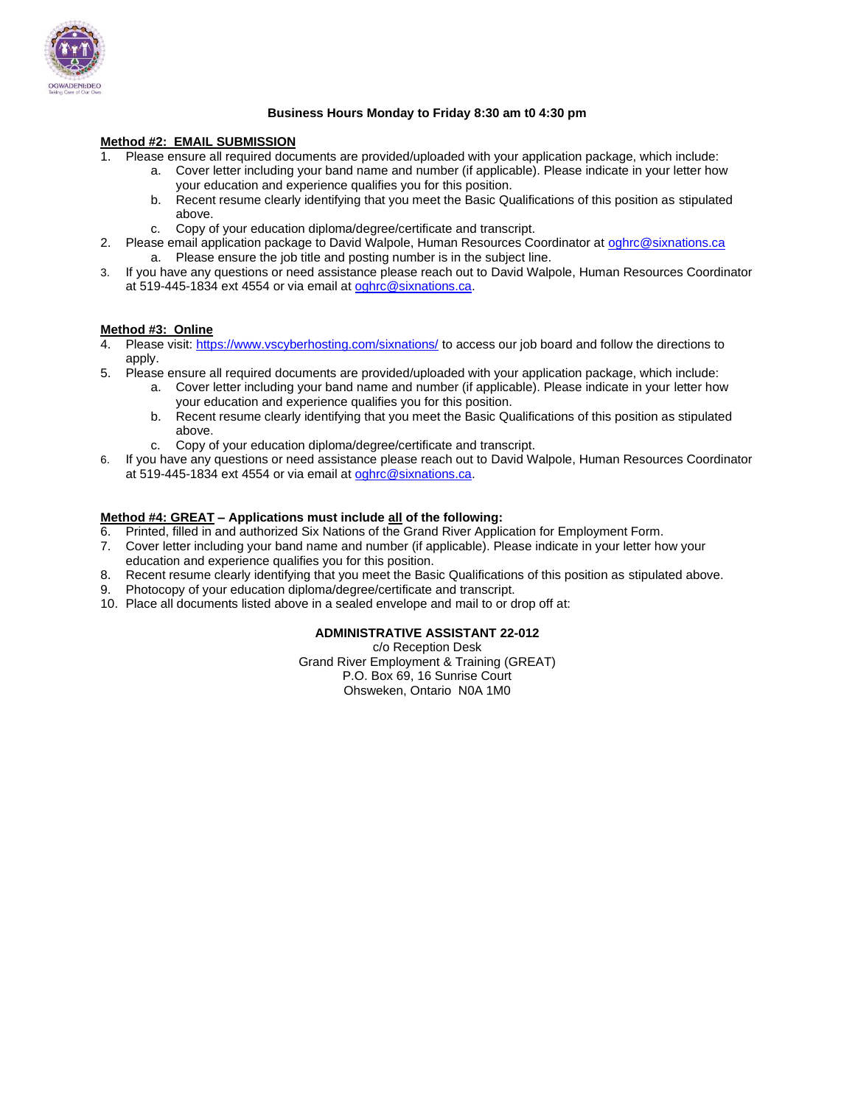

#### **Business Hours Monday to Friday 8:30 am t0 4:30 pm**

#### **Method #2: EMAIL SUBMISSION**

1. Please ensure all required documents are provided/uploaded with your application package, which include:

- a. Cover letter including your band name and number (if applicable). Please indicate in your letter how your education and experience qualifies you for this position.
	- b. Recent resume clearly identifying that you meet the Basic Qualifications of this position as stipulated above.
	- c. Copy of your education diploma/degree/certificate and transcript.
- 2. Please email application package to David Walpole, Human Resources Coordinator at [oghrc@sixnations.ca](mailto:oghrc@sixnations.ca) a. Please ensure the job title and posting number is in the subject line.
- 3. If you have any questions or need assistance please reach out to David Walpole, Human Resources Coordinator at 519-445-1834 ext 4554 or via email at [oghrc@sixnations.ca.](mailto:oghrc@sixnations.ca)

#### **Method #3: Online**

- 4. Please visit[: https://www.vscyberhosting.com/sixnations/](https://www.vscyberhosting.com/sixnations/) to access our job board and follow the directions to apply.
- 5. Please ensure all required documents are provided/uploaded with your application package, which include:
	- a. Cover letter including your band name and number (if applicable). Please indicate in your letter how your education and experience qualifies you for this position.
	- b. Recent resume clearly identifying that you meet the Basic Qualifications of this position as stipulated above.
	- c. Copy of your education diploma/degree/certificate and transcript.
- 6. If you have any questions or need assistance please reach out to David Walpole, Human Resources Coordinator at 519-445-1834 ext 4554 or via email at [oghrc@sixnations.ca.](mailto:oghrc@sixnations.ca)

#### **Method #4: GREAT – Applications must include all of the following:**

- 6. Printed, filled in and authorized Six Nations of the Grand River Application for Employment Form.
- 7. Cover letter including your band name and number (if applicable). Please indicate in your letter how your education and experience qualifies you for this position.
- 8. Recent resume clearly identifying that you meet the Basic Qualifications of this position as stipulated above.
- 9. Photocopy of your education diploma/degree/certificate and transcript.
- 10. Place all documents listed above in a sealed envelope and mail to or drop off at:

#### **ADMINISTRATIVE ASSISTANT 22-012**

c/o Reception Desk Grand River Employment & Training (GREAT) P.O. Box 69, 16 Sunrise Court Ohsweken, Ontario N0A 1M0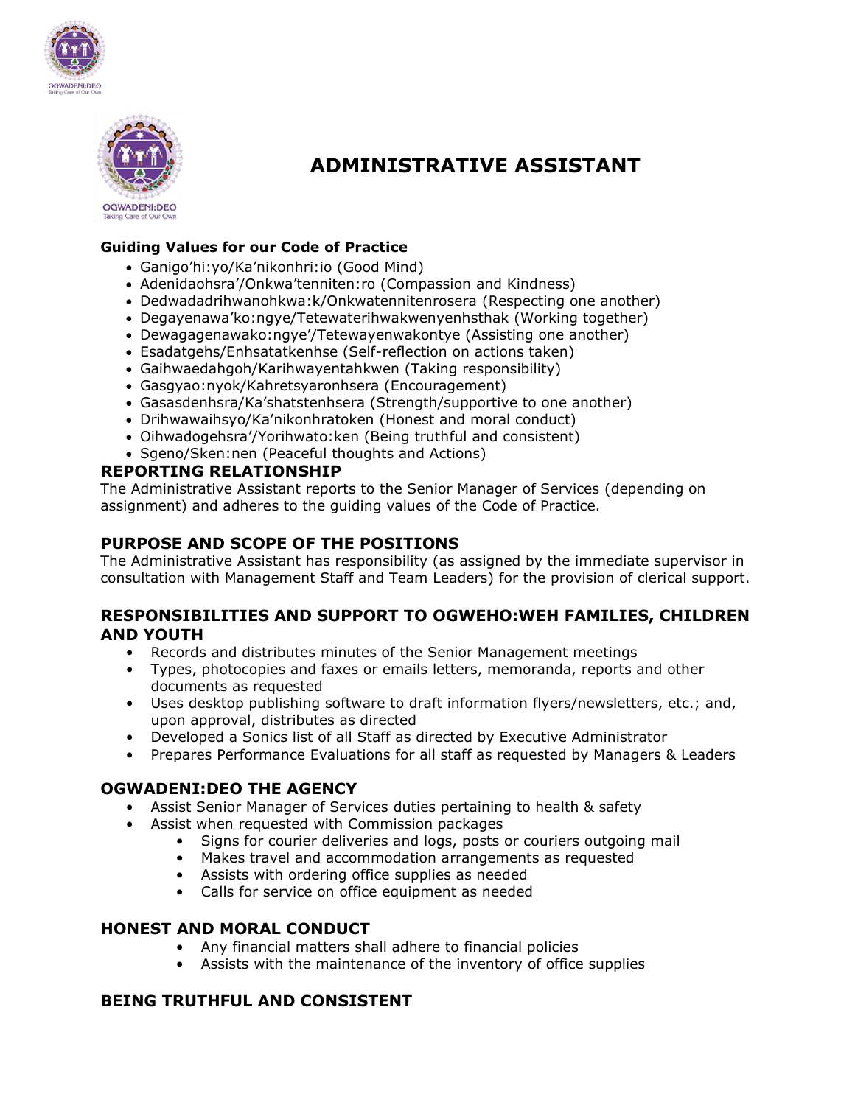



# **ADMINISTRATIVE ASSISTANT**

# **Guiding Values for our Code of Practice**

- Ganigo'hi:yo/Ka'nikonhri:io (Good Mind)
- Adenidaohsra'/Onkwa'tenniten:ro (Compassion and Kindness)
- Dedwadadrihwanohkwa:k/Onkwatennitenrosera (Respecting one another)
- Degayenawa'ko:ngye/Tetewaterihwakwenyenhsthak (Working together)
- Dewagagenawako:ngye'/Tetewayenwakontye (Assisting one another)
- Esadatgehs/Enhsatatkenhse (Self-reflection on actions taken)
- Gaihwaedahgoh/Karihwayentahkwen (Taking responsibility)
- Gasgyao:nyok/Kahretsyaronhsera (Encouragement)
- Gasasdenhsra/Ka'shatstenhsera (Strength/supportive to one another)
- Drihwawaihsyo/Ka'nikonhratoken (Honest and moral conduct)
- Oihwadogehsra'/Yorihwato:ken (Being truthful and consistent)
- Sgeno/Sken:nen (Peaceful thoughts and Actions)

# **REPORTING RELATIONSHIP**

The Administrative Assistant reports to the Senior Manager of Services (depending on assignment) and adheres to the guiding values of the Code of Practice.

# **PURPOSE AND SCOPE OF THE POSITIONS**

The Administrative Assistant has responsibility (as assigned by the immediate supervisor in consultation with Management Staff and Team Leaders) for the provision of clerical support.

# **RESPONSIBILITIES AND SUPPORT TO OGWEHO:WEH FAMILIES, CHILDREN AND YOUTH**

- Records and distributes minutes of the Senior Management meetings
- Types, photocopies and faxes or emails letters, memoranda, reports and other documents as requested
- Uses desktop publishing software to draft information flyers/newsletters, etc.; and, upon approval, distributes as directed
- Developed a Sonics list of all Staff as directed by Executive Administrator
- Prepares Performance Evaluations for all staff as requested by Managers & Leaders

# **OGWADENI:DEO THE AGENCY**

- Assist Senior Manager of Services duties pertaining to health & safety
- Assist when requested with Commission packages
	- Signs for courier deliveries and logs, posts or couriers outgoing mail
	- Makes travel and accommodation arrangements as requested
	- Assists with ordering office supplies as needed
	- Calls for service on office equipment as needed

# **HONEST AND MORAL CONDUCT**

- Any financial matters shall adhere to financial policies
- Assists with the maintenance of the inventory of office supplies

# **BEING TRUTHFUL AND CONSISTENT**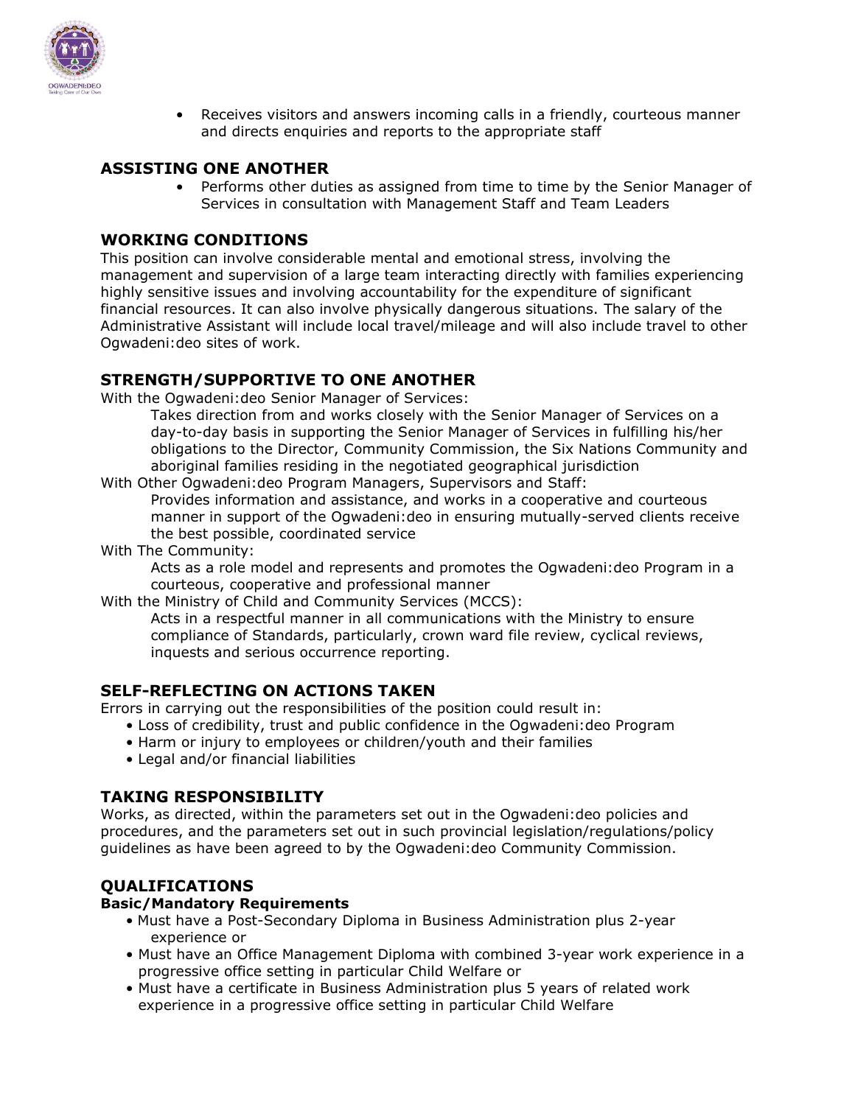

• Receives visitors and answers incoming calls in a friendly, courteous manner and directs enquiries and reports to the appropriate staff

# **ASSISTING ONE ANOTHER**

• Performs other duties as assigned from time to time by the Senior Manager of Services in consultation with Management Staff and Team Leaders

# **WORKING CONDITIONS**

This position can involve considerable mental and emotional stress, involving the management and supervision of a large team interacting directly with families experiencing highly sensitive issues and involving accountability for the expenditure of significant financial resources. It can also involve physically dangerous situations. The salary of the Administrative Assistant will include local travel/mileage and will also include travel to other Ogwadeni:deo sites of work.

# **STRENGTH/SUPPORTIVE TO ONE ANOTHER**

With the Ogwadeni:deo Senior Manager of Services:

Takes direction from and works closely with the Senior Manager of Services on a day-to-day basis in supporting the Senior Manager of Services in fulfilling his/her obligations to the Director, Community Commission, the Six Nations Community and aboriginal families residing in the negotiated geographical jurisdiction

With Other Ogwadeni:deo Program Managers, Supervisors and Staff:

Provides information and assistance, and works in a cooperative and courteous manner in support of the Ogwadeni:deo in ensuring mutually-served clients receive the best possible, coordinated service

With The Community:

Acts as a role model and represents and promotes the Ogwadeni:deo Program in a courteous, cooperative and professional manner

With the Ministry of Child and Community Services (MCCS):

Acts in a respectful manner in all communications with the Ministry to ensure compliance of Standards, particularly, crown ward file review, cyclical reviews, inquests and serious occurrence reporting.

# **SELF-REFLECTING ON ACTIONS TAKEN**

Errors in carrying out the responsibilities of the position could result in:

- Loss of credibility, trust and public confidence in the Ogwadeni:deo Program
- Harm or injury to employees or children/youth and their families
- Legal and/or financial liabilities

# **TAKING RESPONSIBILITY**

Works, as directed, within the parameters set out in the Ogwadeni:deo policies and procedures, and the parameters set out in such provincial legislation/regulations/policy guidelines as have been agreed to by the Ogwadeni:deo Community Commission.

# **QUALIFICATIONS**

### **Basic/Mandatory Requirements**

- Must have a Post-Secondary Diploma in Business Administration plus 2-year experience or
- Must have an Office Management Diploma with combined 3-year work experience in a progressive office setting in particular Child Welfare or
- Must have a certificate in Business Administration plus 5 years of related work experience in a progressive office setting in particular Child Welfare